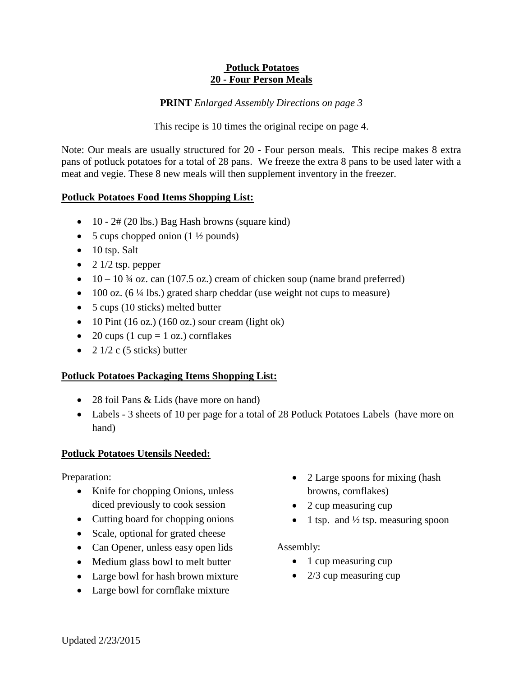### **Potluck Potatoes 20 - Four Person Meals**

**PRINT** *Enlarged Assembly Directions on page 3*

This recipe is 10 times the original recipe on page 4.

Note: Our meals are usually structured for 20 - Four person meals. This recipe makes 8 extra pans of potluck potatoes for a total of 28 pans. We freeze the extra 8 pans to be used later with a meat and vegie. These 8 new meals will then supplement inventory in the freezer.

# **Potluck Potatoes Food Items Shopping List:**

- $\bullet$  10 2# (20 lbs.) Bag Hash browns (square kind)
- 5 cups chopped onion  $(1 \frac{1}{2})$  pounds)
- $\bullet$  10 tsp. Salt
- $\bullet$  2 1/2 tsp. pepper
- $\bullet$  10 10  $\frac{3}{4}$  oz. can (107.5 oz.) cream of chicken soup (name brand preferred)
- $\bullet$  100 oz. (6 ¼ lbs.) grated sharp cheddar (use weight not cups to measure)
- 5 cups (10 sticks) melted butter
- $\bullet$  10 Pint (16 oz.) (160 oz.) sour cream (light ok)
- 20 cups (1 cup = 1 oz.) cornflakes
- 2  $1/2$  c (5 sticks) butter

# **Potluck Potatoes Packaging Items Shopping List:**

- 28 foil Pans & Lids (have more on hand)
- Labels 3 sheets of 10 per page for a total of 28 Potluck Potatoes Labels (have more on hand)

# **Potluck Potatoes Utensils Needed:**

Preparation:

- Knife for chopping Onions, unless diced previously to cook session
- Cutting board for chopping onions
- Scale, optional for grated cheese
- Can Opener, unless easy open lids
- Medium glass bowl to melt butter
- Large bowl for hash brown mixture
- Large bowl for cornflake mixture
- 2 Large spoons for mixing (hash browns, cornflakes)
- 2 cup measuring cup
- 1 tsp. and  $\frac{1}{2}$  tsp. measuring spoon

# Assembly:

- 1 cup measuring cup
- $\bullet$  2/3 cup measuring cup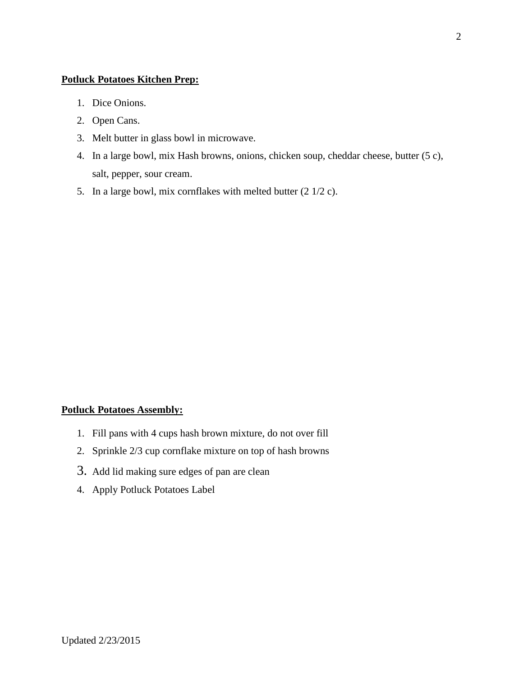#### **Potluck Potatoes Kitchen Prep:**

- 1. Dice Onions.
- 2. Open Cans.
- 3. Melt butter in glass bowl in microwave.
- 4. In a large bowl, mix Hash browns, onions, chicken soup, cheddar cheese, butter (5 c), salt, pepper, sour cream.
- 5. In a large bowl, mix cornflakes with melted butter (2 1/2 c).

### **Potluck Potatoes Assembly:**

- 1. Fill pans with 4 cups hash brown mixture, do not over fill
- 2. Sprinkle 2/3 cup cornflake mixture on top of hash browns
- 3. Add lid making sure edges of pan are clean
- 4. Apply Potluck Potatoes Label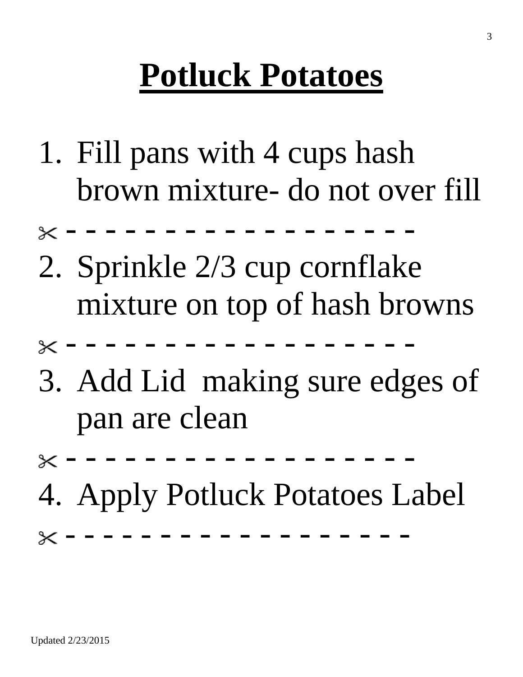# **Potluck Potatoes**

- 1. Fill pans with 4 cups hash brown mixture- do not over fill
- - - - - - - - - -
- 2. Sprinkle 2/3 cup cornflake mixture on top of hash browns
- - - - - - - - - -
- 3. Add Lid making sure edges of pan are clean
- - - - - - - - - -
- 4. Apply Potluck Potatoes Label

- - - - - - - - - - - - - - - - - -